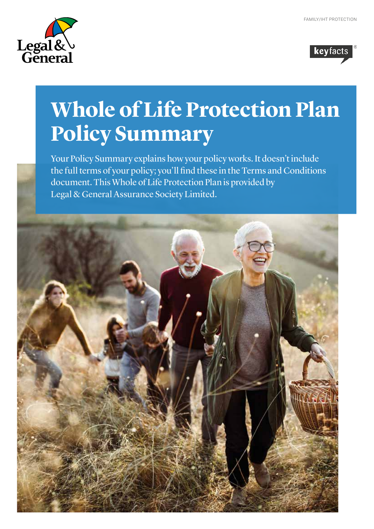



# **Whole of Life Protection Plan Policy Summary**

Your Policy Summary explains how your policy works. It doesn't include the full terms of your policy; you'll find these in the Terms and Conditions document. This Whole of Life Protection Plan is provided by Legal & General Assurance Society Limited.

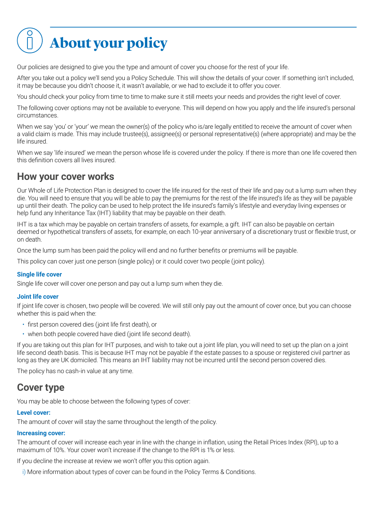

Our policies are designed to give you the type and amount of cover you choose for the rest of your life.

After you take out a policy we'll send you a Policy Schedule. This will show the details of your cover. If something isn't included, it may be because you didn't choose it, it wasn't available, or we had to exclude it to offer you cover.

You should check your policy from time to time to make sure it still meets your needs and provides the right level of cover.

The following cover options may not be available to everyone. This will depend on how you apply and the life insured's personal circumstances.

When we say 'you' or 'your' we mean the owner(s) of the policy who is/are legally entitled to receive the amount of cover when a valid claim is made. This may include trustee(s), assignee(s) or personal representative(s) (where appropriate) and may be the life insured.

When we say 'life insured' we mean the person whose life is covered under the policy. If there is more than one life covered then this definition covers all lives insured.

### **How your cover works**

Our Whole of Life Protection Plan is designed to cover the life insured for the rest of their life and pay out a lump sum when they die. You will need to ensure that you will be able to pay the premiums for the rest of the life insured's life as they will be payable up until their death. The policy can be used to help protect the life insured's family's lifestyle and everyday living expenses or help fund any Inheritance Tax (IHT) liability that may be payable on their death.

IHT is a tax which may be payable on certain transfers of assets, for example, a gift. IHT can also be payable on certain deemed or hypothetical transfers of assets, for example, on each 10-year anniversary of a discretionary trust or flexible trust, or on death.

Once the lump sum has been paid the policy will end and no further benefits or premiums will be payable.

This policy can cover just one person (single policy) or it could cover two people (joint policy).

#### **Single life cover**

Single life cover will cover one person and pay out a lump sum when they die.

#### **Joint life cover**

If joint life cover is chosen, two people will be covered. We will still only pay out the amount of cover once, but you can choose whether this is paid when the:

- first person covered dies (joint life first death), or
- when both people covered have died (joint life second death).

If you are taking out this plan for IHT purposes, and wish to take out a joint life plan, you will need to set up the plan on a joint life second death basis. This is because IHT may not be payable if the estate passes to a spouse or registered civil partner as long as they are UK domiciled. This means an IHT liability may not be incurred until the second person covered dies.

The policy has no cash-in value at any time.

### **Cover type**

You may be able to choose between the following types of cover:

#### **Level cover:**

The amount of cover will stay the same throughout the length of the policy.

#### **Increasing cover:**

The amount of cover will increase each year in line with the change in inflation, using the Retail Prices Index (RPI), up to a maximum of 10%. Your cover won't increase if the change to the RPI is 1% or less.

If you decline the increase at review we won't offer you this option again.

i) More information about types of cover can be found in the Policy Terms & Conditions.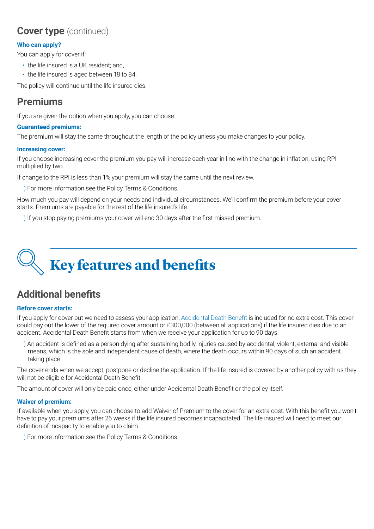## **Cover type** (continued)

#### **Who can apply?**

You can apply for cover if:

- the life insured is a UK resident; and,
- the life insured is aged between 18 to 84.

The policy will continue until the life insured dies.

### **Premiums**

If you are given the option when you apply, you can choose:

#### **Guaranteed premiums:**

The premium will stay the same throughout the length of the policy unless you make changes to your policy.

#### **Increasing cover:**

If you choose increasing cover the premium you pay will increase each year in line with the change in inflation, using RPI multiplied by two.

If change to the RPI is less than 1% your premium will stay the same until the next review.

i) For more information see the Policy Terms & Conditions.

How much you pay will depend on your needs and individual circumstances. We'll confirm the premium before your cover starts. Premiums are payable for the rest of the life insured's life.

i) If you stop paying premiums your cover will end 30 days after the first missed premium.



## **Additional benefits**

#### **Before cover starts:**

If you apply for cover but we need to assess your application, Accidental Death Benefit is included for no extra cost. This cover could pay out the lower of the required cover amount or £300,000 (between all applications) if the life insured dies due to an accident. Accidental Death Benefit starts from when we receive your application for up to 90 days.

i) An accident is defined as a person dying after sustaining bodily injuries caused by accidental, violent, external and visible means, which is the sole and independent cause of death, where the death occurs within 90 days of such an accident taking place.

The cover ends when we accept, postpone or decline the application. If the life insured is covered by another policy with us they will not be eligible for Accidental Death Benefit.

The amount of cover will only be paid once, either under Accidental Death Benefit or the policy itself.

#### **Waiver of premium:**

If available when you apply, you can choose to add Waiver of Premium to the cover for an extra cost. With this benefit you won't have to pay your premiums after 26 weeks if the life insured becomes incapacitated. The life insured will need to meet our definition of incapacity to enable you to claim.

i) For more information see the Policy Terms & Conditions.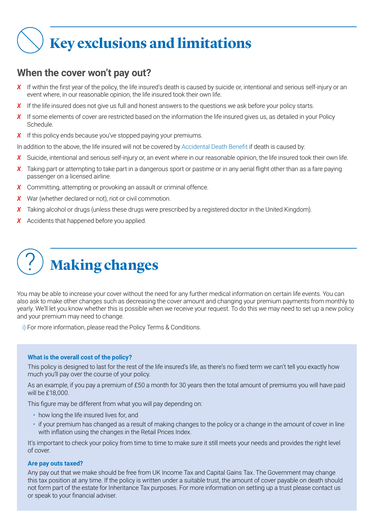## **Key exclusions and limitations**

## **When the cover won't pay out?**

- **X** If within the first year of the policy, the life insured's death is caused by suicide or, intentional and serious self-injury or an event where, in our reasonable opinion, the life insured took their own life.
- X If the life insured does not give us full and honest answers to the questions we ask before your policy starts.
- X If some elements of cover are restricted based on the information the life insured gives us, as detailed in your Policy Schedule.
- X If this policy ends because you've stopped paying your premiums.

In addition to the above, the life insured will not be covered by Accidental Death Benefit if death is caused by:

- X Suicide, intentional and serious self-injury or, an event where in our reasonable opinion, the life insured took their own life.
- *X* Taking part or attempting to take part in a dangerous sport or pastime or in any aerial flight other than as a fare paying passenger on a licensed airline.
- **X** Committing, attempting or provoking an assault or criminal offence.
- *X* War (whether declared or not), riot or civil commotion.
- **X** Taking alcohol or drugs (unless these drugs were prescribed by a registered doctor in the United Kingdom).
- *X* Accidents that happened before you applied.



You may be able to increase your cover without the need for any further medical information on certain life events. You can also ask to make other changes such as decreasing the cover amount and changing your premium payments from monthly to yearly. We'll let you know whether this is possible when we receive your request. To do this we may need to set up a new policy and your premium may need to change.

i) For more information, please read the Policy Terms & Conditions.

#### **What is the overall cost of the policy?**

This policy is designed to last for the rest of the life insured's life, as there's no fixed term we can't tell you exactly how much you'll pay over the course of your policy.

As an example, if you pay a premium of £50 a month for 30 years then the total amount of premiums you will have paid will be £18,000.

This figure may be different from what you will pay depending on:

- how long the life insured lives for, and
- if your premium has changed as a result of making changes to the policy or a change in the amount of cover in line with inflation using the changes in the Retail Prices Index.

It's important to check your policy from time to time to make sure it still meets your needs and provides the right level of cover.

#### **Are pay outs taxed?**

Any pay out that we make should be free from UK Income Tax and Capital Gains Tax. The Government may change this tax position at any time. If the policy is written under a suitable trust, the amount of cover payable on death should not form part of the estate for Inheritance Tax purposes. For more information on setting up a trust please contact us or speak to your financial adviser.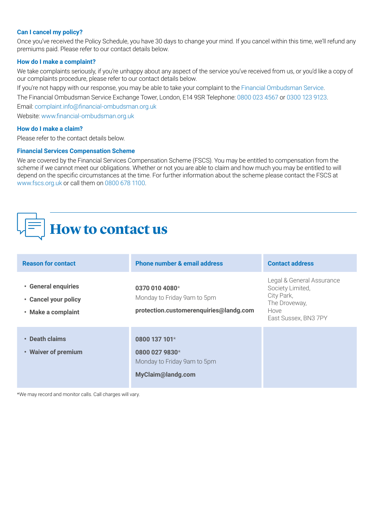#### **Can I cancel my policy?**

Once you've received the Policy Schedule, you have 30 days to change your mind. If you cancel within this time, we'll refund any premiums paid. Please refer to our contact details below.

#### **How do I make a complaint?**

We take complaints seriously, if you're unhappy about any aspect of the service you've received from us, or you'd like a copy of our complaints procedure, please refer to our contact details below.

If you're not happy with our response, you may be able to take your complaint to the Financial Ombudsman Service.

The Financial Ombudsman Service Exchange Tower, London, E14 9SR Telephone: 0800 023 4567 or 0300 123 9123.

Email: complaint.info@financial-ombudsman.org.uk

Website: www.financial-ombudsman.org.uk

#### **How do I make a claim?**

Please refer to the contact details below.

#### **Financial Services Compensation Scheme**

We are covered by the Financial Services Compensation Scheme (FSCS). You may be entitled to compensation from the scheme if we cannot meet our obligations. Whether or not you are able to claim and how much you may be entitled to will depend on the specific circumstances at the time. For further information about the scheme please contact the FSCS at www.fscs.org.uk or call them on 0800 678 1100.

## **How to contact us**

| <b>Reason for contact</b>                                         | <b>Phone number &amp; email address</b>                                                    | <b>Contact address</b>                                                                                       |
|-------------------------------------------------------------------|--------------------------------------------------------------------------------------------|--------------------------------------------------------------------------------------------------------------|
| • General enquiries<br>• Cancel your policy<br>• Make a complaint | 0370 010 4080 $*$<br>Monday to Friday 9am to 5pm<br>protection.customerenquiries@landg.com | Legal & General Assurance<br>Society Limited,<br>City Park,<br>The Droveway,<br>Hove<br>East Sussex, BN3 7PY |
| • Death claims<br>• Waiver of premium                             | 0800 137 101 $*$<br>0800 027 9830*<br>Monday to Friday 9am to 5pm<br>MyClaim@landg.com     |                                                                                                              |

\*We may record and monitor calls. Call charges will vary.